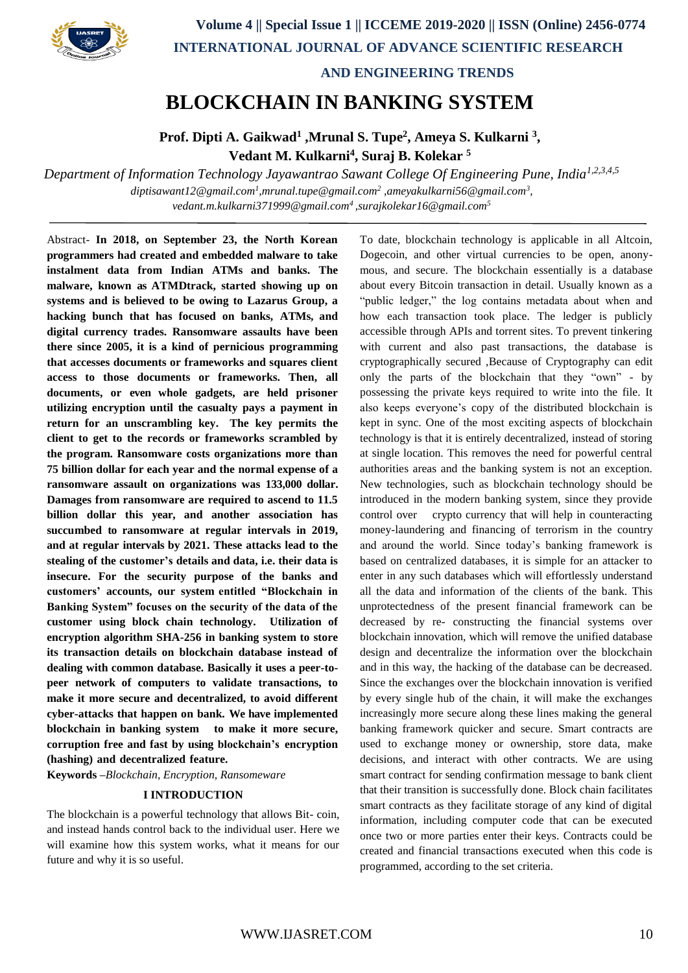

 **AND ENGINEERING TRENDS**

# **BLOCKCHAIN IN BANKING SYSTEM**

**Prof. Dipti A. Gaikwad<sup>1</sup> ,Mrunal S. Tupe<sup>2</sup>, Ameya S. Kulkarni <sup>3</sup>, Vedant M. Kulkarni<sup>4</sup> , Suraj B. Kolekar <sup>5</sup>**

*Department of Information Technology Jayawantrao Sawant College Of Engineering Pune, India1,2,3,4,5 diptisawant12@gmail.com<sup>1</sup> ,mrunal.tupe@gmail.com<sup>2</sup> ,ameyakulkarni56@gmail.com<sup>3</sup> , vedant.m.kulkarni371999@gmail.com<sup>4</sup> ,surajkolekar16@gmail.com<sup>5</sup>*

Abstract- **In 2018, on September 23, the North Korean programmers had created and embedded malware to take instalment data from Indian ATMs and banks. The malware, known as ATMDtrack, started showing up on systems and is believed to be owing to Lazarus Group, a hacking bunch that has focused on banks, ATMs, and digital currency trades. Ransomware assaults have been there since 2005, it is a kind of pernicious programming that accesses documents or frameworks and squares client access to those documents or frameworks. Then, all documents, or even whole gadgets, are held prisoner utilizing encryption until the casualty pays a payment in return for an unscrambling key. The key permits the client to get to the records or frameworks scrambled by the program. Ransomware costs organizations more than 75 billion dollar for each year and the normal expense of a ransomware assault on organizations was 133,000 dollar. Damages from ransomware are required to ascend to 11.5 billion dollar this year, and another association has succumbed to ransomware at regular intervals in 2019, and at regular intervals by 2021. These attacks lead to the stealing of the customer's details and data, i.e. their data is insecure. For the security purpose of the banks and customers' accounts, our system entitled "Blockchain in Banking System" focuses on the security of the data of the customer using block chain technology. Utilization of encryption algorithm SHA-256 in banking system to store its transaction details on blockchain database instead of dealing with common database. Basically it uses a peer-topeer network of computers to validate transactions, to make it more secure and decentralized, to avoid different cyber-attacks that happen on bank. We have implemented blockchain in banking system to make it more secure, corruption free and fast by using blockchain's encryption (hashing) and decentralized feature.**

**Keywords –***Blockchain, Encryption, Ransomeware*

## **I INTRODUCTION**

The blockchain is a powerful technology that allows Bit- coin, and instead hands control back to the individual user. Here we will examine how this system works, what it means for our future and why it is so useful.

To date, blockchain technology is applicable in all Altcoin, Dogecoin, and other virtual currencies to be open, anonymous, and secure. The blockchain essentially is a database about every Bitcoin transaction in detail. Usually known as a "public ledger," the log contains metadata about when and how each transaction took place. The ledger is publicly accessible through APIs and torrent sites. To prevent tinkering with current and also past transactions, the database is cryptographically secured ,Because of Cryptography can edit only the parts of the blockchain that they "own" - by possessing the private keys required to write into the file. It also keeps everyone's copy of the distributed blockchain is kept in sync. One of the most exciting aspects of blockchain technology is that it is entirely decentralized, instead of storing at single location. This removes the need for powerful central authorities areas and the banking system is not an exception. New technologies, such as blockchain technology should be introduced in the modern banking system, since they provide control over crypto currency that will help in counteracting money-laundering and financing of terrorism in the country and around the world. Since today's banking framework is based on centralized databases, it is simple for an attacker to enter in any such databases which will effortlessly understand all the data and information of the clients of the bank. This unprotectedness of the present financial framework can be decreased by re- constructing the financial systems over blockchain innovation, which will remove the unified database design and decentralize the information over the blockchain and in this way, the hacking of the database can be decreased. Since the exchanges over the blockchain innovation is verified by every single hub of the chain, it will make the exchanges increasingly more secure along these lines making the general banking framework quicker and secure. Smart contracts are used to exchange money or ownership, store data, make decisions, and interact with other contracts. We are using smart contract for sending confirmation message to bank client that their transition is successfully done. Block chain facilitates smart contracts as they facilitate storage of any kind of digital information, including computer code that can be executed once two or more parties enter their keys. Contracts could be created and financial transactions executed when this code is programmed, according to the set criteria.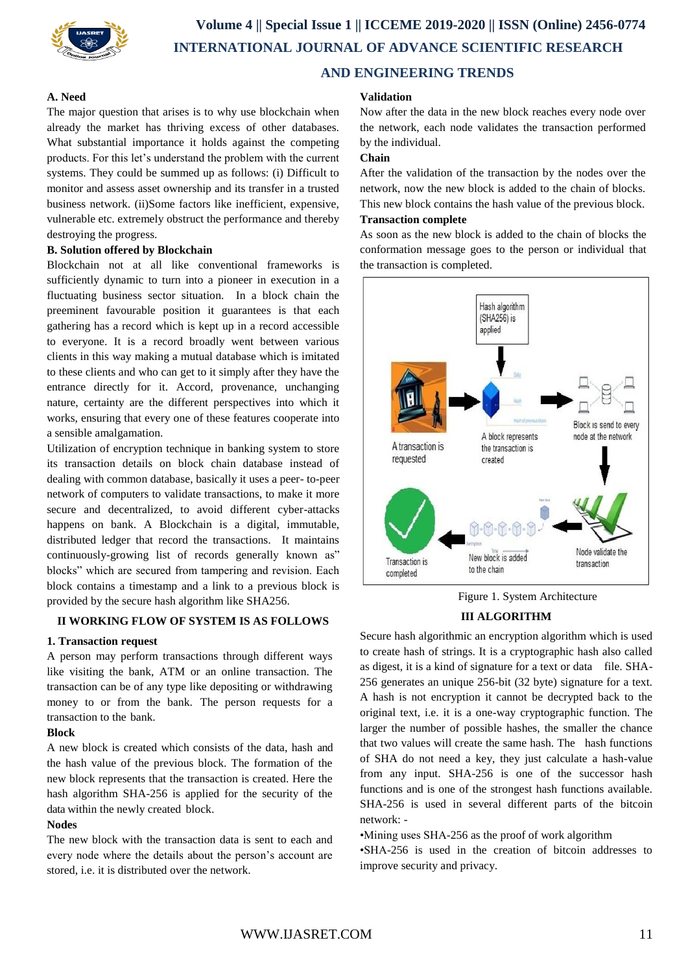

# **A. Need**

The major question that arises is to why use blockchain when already the market has thriving excess of other databases. What substantial importance it holds against the competing products. For this let's understand the problem with the current systems. They could be summed up as follows: (i) Difficult to monitor and assess asset ownership and its transfer in a trusted business network. (ii)Some factors like inefficient, expensive, vulnerable etc. extremely obstruct the performance and thereby destroying the progress.

## **B. Solution offered by Blockchain**

Blockchain not at all like conventional frameworks is sufficiently dynamic to turn into a pioneer in execution in a fluctuating business sector situation. In a block chain the preeminent favourable position it guarantees is that each gathering has a record which is kept up in a record accessible to everyone. It is a record broadly went between various clients in this way making a mutual database which is imitated to these clients and who can get to it simply after they have the entrance directly for it. Accord, provenance, unchanging nature, certainty are the different perspectives into which it works, ensuring that every one of these features cooperate into a sensible amalgamation.

Utilization of encryption technique in banking system to store its transaction details on block chain database instead of dealing with common database, basically it uses a peer- to-peer network of computers to validate transactions, to make it more secure and decentralized, to avoid different cyber-attacks happens on bank. A Blockchain is a digital, immutable, distributed ledger that record the transactions. It maintains continuously-growing list of records generally known as" blocks" which are secured from tampering and revision. Each block contains a timestamp and a link to a previous block is provided by the secure hash algorithm like SHA256.

# **II WORKING FLOW OF SYSTEM IS AS FOLLOWS**

#### **1. Transaction request**

A person may perform transactions through different ways like visiting the bank, ATM or an online transaction. The transaction can be of any type like depositing or withdrawing money to or from the bank. The person requests for a transaction to the bank.

#### **Block**

A new block is created which consists of the data, hash and the hash value of the previous block. The formation of the new block represents that the transaction is created. Here the hash algorithm SHA-256 is applied for the security of the data within the newly created block.

#### **Nodes**

The new block with the transaction data is sent to each and every node where the details about the person's account are stored, i.e. it is distributed over the network.

## **Validation**

Now after the data in the new block reaches every node over the network, each node validates the transaction performed by the individual.

# **Chain**

After the validation of the transaction by the nodes over the network, now the new block is added to the chain of blocks. This new block contains the hash value of the previous block.

# **Transaction complete**

As soon as the new block is added to the chain of blocks the conformation message goes to the person or individual that the transaction is completed.



Figure 1. System Architecture

# **III ALGORITHM**

Secure hash algorithmic an encryption algorithm which is used to create hash of strings. It is a cryptographic hash also called as digest, it is a kind of signature for a text or data file. SHA-256 generates an unique 256-bit (32 byte) signature for a text. A hash is not encryption it cannot be decrypted back to the original text, i.e. it is a one-way cryptographic function. The larger the number of possible hashes, the smaller the chance that two values will create the same hash. The hash functions of SHA do not need a key, they just calculate a hash-value from any input. SHA-256 is one of the successor hash functions and is one of the strongest hash functions available. SHA-256 is used in several different parts of the bitcoin network: -

•Mining uses SHA-256 as the proof of work algorithm

•SHA-256 is used in the creation of bitcoin addresses to improve security and privacy.